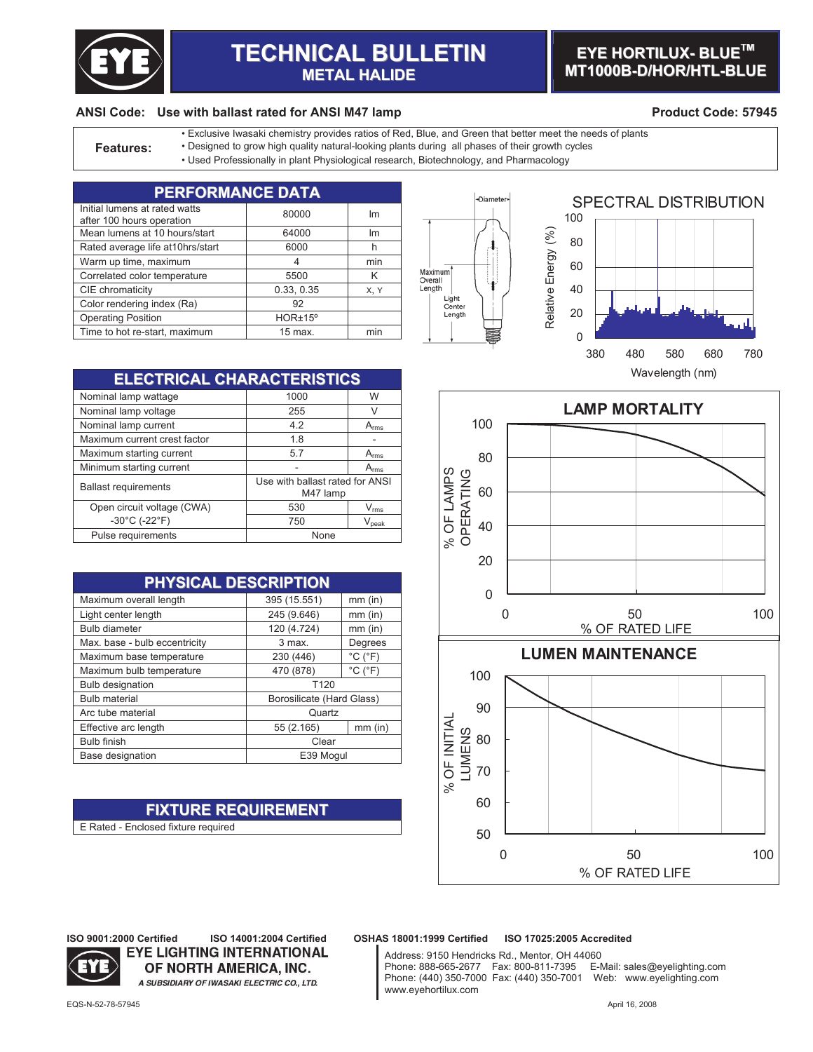

# **TECHNICAL BULLETIN METAL HALIDE**

### **EYE HORTILUX- BLUE TM MT1000B-D/HOR/HTL-BLUE**

#### **ANSI Code: Use with ballast rated for ANSI M47 lamp Product Code: 57945**

• Exclusive Iwasaki chemistry provides ratios of Red, Blue, and Green that better meet the needs of plants

- **Features:** Designed to grow high quality natural-looking plants during all phases of their growth cycles
	- Used Professionally in plant Physiological research, Biotechnology, and Pharmacology

| <b>PERFORMANCE DATA</b>                                    |            |      |  |
|------------------------------------------------------------|------------|------|--|
| Initial lumens at rated watts<br>after 100 hours operation | 80000      | Im   |  |
| Mean lumens at 10 hours/start                              | 64000      | Im   |  |
| Rated average life at 10hrs/start                          | 6000       | h    |  |
| Warm up time, maximum                                      | 4          | min  |  |
| Correlated color temperature                               | 5500       | K    |  |
| CIE chromaticity                                           | 0.33, 0.35 | X, Y |  |
| Color rendering index (Ra)                                 | 92         |      |  |
| <b>Operating Position</b>                                  | HOR±15°    |      |  |
| Time to hot re-start, maximum                              | $15$ max.  | min  |  |





**ELECTRICAL CHARACTERISTICS** Nominal lamp wattage 1000 W Nominal lamp voltage 255 V<br>
Nominal lamp current 255 A<sub>rms</sub> Nominal lamp current<br>
Maximum current crest factor<br>
1.8 Maximum current crest factor 1.8 -Maximum starting current 5.7 A<sub>rms</sub><br>Minimum starting current 1997 - A<sub>rms</sub> Minimum starting current Ballast requirements Use with ballast rated for ANSI M47 lamp Open circuit voltage (CWA)  $\vert$  530  $\vert$   $V_{rms}$  $-30^{\circ}$ C (-22 $^{\circ}$ F) 750 V<sub>peak</sub> Pulse requirements and the None

| PHYSICAL DESCRIPTION          |                           |                              |  |
|-------------------------------|---------------------------|------------------------------|--|
| Maximum overall length        | 395 (15.551)              | $mm$ (in)                    |  |
| Light center length           | 245 (9.646)               | $mm$ (in)                    |  |
| <b>Bulb diameter</b>          | 120 (4.724)               | $mm$ (in)                    |  |
| Max. base - bulb eccentricity | 3 max.                    | Degrees                      |  |
| Maximum base temperature      | 230 (446)                 | $^{\circ}$ C ( $^{\circ}$ F) |  |
| Maximum bulb temperature      | 470 (878)                 | $^{\circ}$ C ( $^{\circ}$ F) |  |
| <b>Bulb designation</b>       | T <sub>120</sub>          |                              |  |
| <b>Bulb material</b>          | Borosilicate (Hard Glass) |                              |  |
| Arc tube material             | Quartz                    |                              |  |
| Effective arc length          | 55 (2.165)                | $mm$ (in)                    |  |
| <b>Bulb finish</b>            | Clear                     |                              |  |
| Base designation              | E39 Mogul                 |                              |  |

## **FIXTURE REQUIREMENT**

**EYE LIGHTING INTERNATIONAL** OF NORTH AMERICA, INC. A SUBSIDIARY OF IWASAKI ELECTRIC CO., LTD.

E Rated - Enclosed fixture required



**ISO 9001:2000 Certified ISO 14001:2004 Certified OSHAS 18001:1999 Certified ISO 17025:2005 Accredited**

Address: 9150 Hendricks Rd., Mentor, OH 44060 Phone: 888-665-2677 Fax: 800-811-7395 E-Mail: sales@eyelighting.com Phone: (440) 350-7000 Fax: (440) 350-7001 Web: www.eyelighting.com www.eyehortilux.com

EQS-N-52-78-57945 April 16, 2008